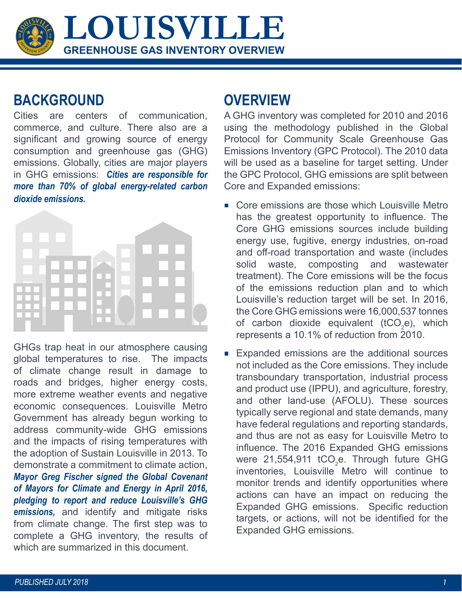GREENHOUSE GAS INVENTORY OVERVIEW **GREENHOUSE GAS INVENTORY OVERVIEW LOUISVILLE**

## **BACKGROUND OVERVIEW**

Cities are centers of communication, commerce, and culture. There also are a significant and growing source of energy consumption and greenhouse gas (GHG) emissions. Globally, cities are major players in GHG emissions: *Cities are responsible for more than 70% of global energy-related carbon dioxide emissions.* 



GHGs trap heat in our atmosphere causing global temperatures to rise. The impacts of climate change result in damage to roads and bridges, higher energy costs, more extreme weather events and negative economic consequences. Louisville Metro Government has already begun working to address community-wide GHG emissions and the impacts of rising temperatures with the adoption of Sustain Louisville in 2013. To demonstrate a commitment to climate action, *Mayor Greg Fischer signed the Global Covenant of Mayors for Climate and Energy in April 2016, pledging to report and reduce Louisville's GHG emissions,* and identify and mitigate risks from climate change. The first step was to complete a GHG inventory, the results of which are summarized in this document.

A GHG inventory was completed for 2010 and 2016 using the methodology published in the Global Protocol for Community Scale Greenhouse Gas Emissions Inventory (GPC Protocol). The 2010 data will be used as a baseline for target setting. Under the GPC Protocol, GHG emissions are split between Core and Expanded emissions:

- Core emissions are those which Louisville Metro has the greatest opportunity to influence. The Core GHG emissions sources include building energy use, fugitive, energy industries, on-road and off-road transportation and waste (includes solid waste, composting and wastewater treatment). The Core emissions will be the focus of the emissions reduction plan and to which Louisville's reduction target will be set. In 2016, the Core GHG emissions were 16,000,537 tonnes of carbon dioxide equivalent (tCO<sub>2</sub>e), which represents a 10.1% of reduction from 2010.
- Expanded emissions are the additional sources  $\Box$ not included as the Core emissions. They include transboundary transportation, industrial process and product use (IPPU), and agriculture, forestry, and other land-use (AFOLU). These sources typically serve regional and state demands, many have federal regulations and reporting standards, and thus are not as easy for Louisville Metro to influence. The 2016 Expanded GHG emissions were 21,554,911 tCO<sub>2</sub>e. Through future GHG inventories, Louisville Metro will continue to monitor trends and identify opportunities where actions can have an impact on reducing the Expanded GHG emissions. Specific reduction targets, or actions, will not be identified for the Expanded GHG emissions.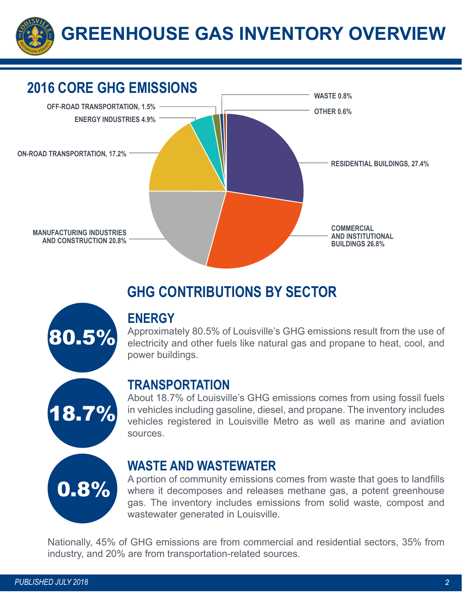



# **GHG CONTRIBUTIONS BY SECTOR**



Approximately 80.5% of Louisville's GHG emissions result from the use of electricity and other fuels like natural gas and propane to heat, cool, and power buildings.



### **TRANSPORTATION**

About 18.7% of Louisville's GHG emissions comes from using fossil fuels in vehicles including gasoline, diesel, and propane. The inventory includes vehicles registered in Louisville Metro as well as marine and aviation sources.



### **WASTE AND WASTEWATER**

A portion of community emissions comes from waste that goes to landfills where it decomposes and releases methane gas, a potent greenhouse gas. The inventory includes emissions from solid waste, compost and wastewater generated in Louisville.

Nationally, 45% of GHG emissions are from commercial and residential sectors, 35% from industry, and 20% are from transportation-related sources.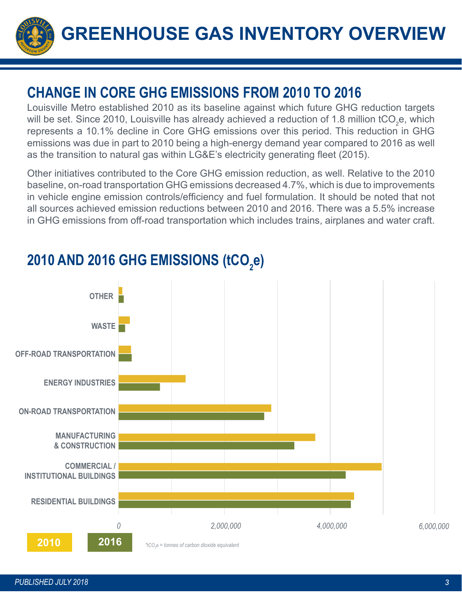

# **CHANGE IN CORE GHG EMISSIONS FROM 2010 TO 2016**

Louisville Metro established 2010 as its baseline against which future GHG reduction targets will be set. Since 2010, Louisville has already achieved a reduction of 1.8 million tCO<sub>2</sub>e, which represents a 10.1% decline in Core GHG emissions over this period. This reduction in GHG emissions was due in part to 2010 being a high-energy demand year compared to 2016 as well as the transition to natural gas within LG&E's electricity generating fleet (2015).

Other initiatives contributed to the Core GHG emission reduction, as well. Relative to the 2010 baseline, on-road transportation GHG emissions decreased 4.7%, which is due to improvements in vehicle engine emission controls/efficiency and fuel formulation. It should be noted that not all sources achieved emission reductions between 2010 and 2016. There was a 5.5% increase in GHG emissions from off-road transportation which includes trains, airplanes and water craft.



# 2010 AND 2016 GHG EMISSIONS (tCO<sub>2</sub>e)